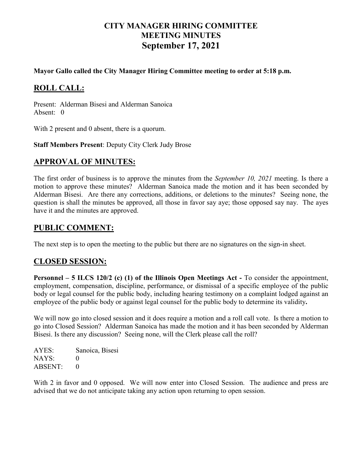# **CITY MANAGER HIRING COMMITTEE MEETING MINUTES September 17, 2021**

**Mayor Gallo called the City Manager Hiring Committee meeting to order at 5:18 p.m.**

### **ROLL CALL:**

Present: Alderman Bisesi and Alderman Sanoica Absent: 0

With 2 present and 0 absent, there is a quorum.

**Staff Members Present**: Deputy City Clerk Judy Brose

#### **APPROVAL OF MINUTES:**

The first order of business is to approve the minutes from the *September 10, 2021* meeting. Is there a motion to approve these minutes? Alderman Sanoica made the motion and it has been seconded by Alderman Bisesi. Are there any corrections, additions, or deletions to the minutes? Seeing none, the question is shall the minutes be approved, all those in favor say aye; those opposed say nay. The ayes have it and the minutes are approved.

#### **PUBLIC COMMENT:**

The next step is to open the meeting to the public but there are no signatures on the sign-in sheet.

#### **CLOSED SESSION:**

**Personnel – 5 ILCS 120/2 (c) (1) of the Illinois Open Meetings Act -** To consider the appointment, employment, compensation, discipline, performance, or dismissal of a specific employee of the public body or legal counsel for the public body, including hearing testimony on a complaint lodged against an employee of the public body or against legal counsel for the public body to determine its validity**.**

We will now go into closed session and it does require a motion and a roll call vote. Is there a motion to go into Closed Session? Alderman Sanoica has made the motion and it has been seconded by Alderman Bisesi. Is there any discussion? Seeing none, will the Clerk please call the roll?

| AYES:   | Sanoica, Bisesi |
|---------|-----------------|
| NAYS:   | $\mathbf{0}$    |
| ABSENT: | $\mathbf{0}$    |

With 2 in favor and 0 opposed. We will now enter into Closed Session. The audience and press are advised that we do not anticipate taking any action upon returning to open session.